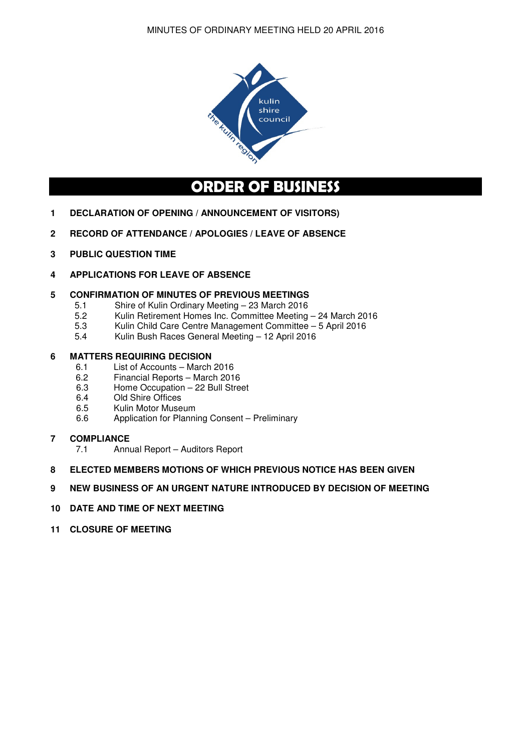

# **ORDER OF BUSINESS**

- **1 DECLARATION OF OPENING / ANNOUNCEMENT OF VISITORS)**
- **2 RECORD OF ATTENDANCE / APOLOGIES / LEAVE OF ABSENCE**
- **3 PUBLIC QUESTION TIME**
- **4 APPLICATIONS FOR LEAVE OF ABSENCE**

## **5 CONFIRMATION OF MINUTES OF PREVIOUS MEETINGS**

- 5.1 Shire of Kulin Ordinary Meeting 23 March 2016
- 5.2 Kulin Retirement Homes Inc. Committee Meeting 24 March 2016
- 5.3 Kulin Child Care Centre Management Committee 5 April 2016
- 5.4 Kulin Bush Races General Meeting 12 April 2016

# **6 MATTERS REQUIRING DECISION**<br>6.1 List of Accounts – March

- 6.1 List of Accounts March 2016<br>6.2 Financial Reports March 201
- 6.2 Financial Reports March 2016<br>6.3 Home Occupation 22 Bull Stre
- Home Occupation 22 Bull Street
- 6.4 Old Shire Offices
- 6.5 Kulin Motor Museum
- 6.6 Application for Planning Consent Preliminary

## **7 COMPLIANCE**

7.1 Annual Report – Auditors Report

## **8 ELECTED MEMBERS MOTIONS OF WHICH PREVIOUS NOTICE HAS BEEN GIVEN**

## **9 NEW BUSINESS OF AN URGENT NATURE INTRODUCED BY DECISION OF MEETING**

## **10 DATE AND TIME OF NEXT MEETING**

**11 CLOSURE OF MEETING**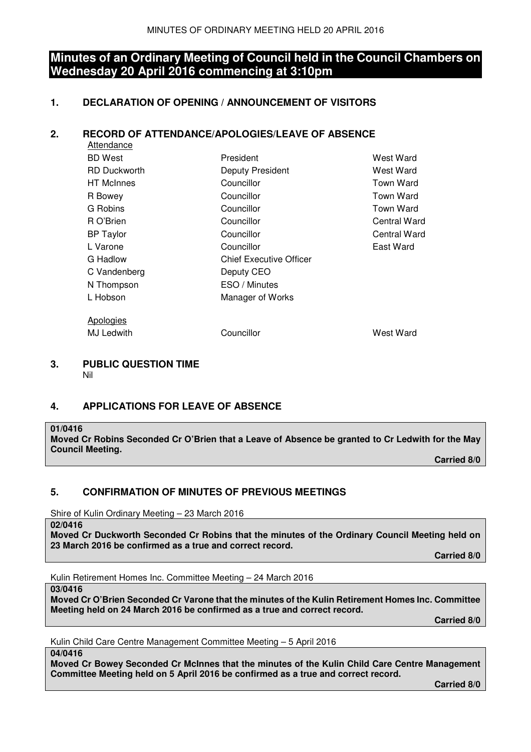## **Minutes of an Ordinary Meeting of Council held in the Council Chambers on Wednesday 20 April 2016 commencing at 3:10pm**

## **1. DECLARATION OF OPENING / ANNOUNCEMENT OF VISITORS**

## **2. RECORD OF ATTENDANCE/APOLOGIES/LEAVE OF ABSENCE**

| Attendance          |                                |              |
|---------------------|--------------------------------|--------------|
| <b>BD</b> West      | President                      | West Ward    |
| <b>RD Duckworth</b> | Deputy President               | West Ward    |
| <b>HT</b> McInnes   | Councillor                     | Town Ward    |
| R Bowey             | Councillor                     | Town Ward    |
| G Robins            | Councillor                     | Town Ward    |
| R O'Brien           | Councillor                     | Central Ward |
| <b>BP</b> Taylor    | Councillor                     | Central Ward |
| L Varone            | Councillor                     | East Ward    |
| G Hadlow            | <b>Chief Executive Officer</b> |              |
| C Vandenberg        | Deputy CEO                     |              |
| N Thompson          | ESO / Minutes                  |              |
| L Hobson            | Manager of Works               |              |
| Apologies           |                                |              |
| MJ Ledwith          | Councillor                     | West Ward    |

#### **3. PUBLIC QUESTION TIME**  Nil

## **4. APPLICATIONS FOR LEAVE OF ABSENCE**

#### **01/0416**

**Moved Cr Robins Seconded Cr O'Brien that a Leave of Absence be granted to Cr Ledwith for the May Council Meeting.** 

 **Carried 8/0** 

## **5. CONFIRMATION OF MINUTES OF PREVIOUS MEETINGS**

Shire of Kulin Ordinary Meeting – 23 March 2016

**Moved Cr Duckworth Seconded Cr Robins that the minutes of the Ordinary Council Meeting held on 23 March 2016 be confirmed as a true and correct record.** 

 **Carried 8/0** 

Kulin Retirement Homes Inc. Committee Meeting – 24 March 2016

**03/0416** 

**02/0416** 

**Moved Cr O'Brien Seconded Cr Varone that the minutes of the Kulin Retirement Homes Inc. Committee Meeting held on 24 March 2016 be confirmed as a true and correct record.** 

 **Carried 8/0** 

Kulin Child Care Centre Management Committee Meeting – 5 April 2016

**04/0416** 

**Moved Cr Bowey Seconded Cr McInnes that the minutes of the Kulin Child Care Centre Management Committee Meeting held on 5 April 2016 be confirmed as a true and correct record.**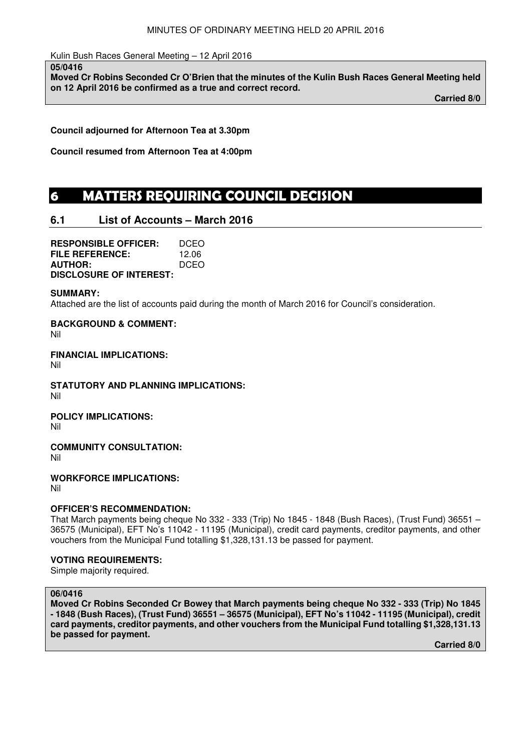Kulin Bush Races General Meeting – 12 April 2016

**05/0416** 

**Moved Cr Robins Seconded Cr O'Brien that the minutes of the Kulin Bush Races General Meeting held on 12 April 2016 be confirmed as a true and correct record.** 

**Carried 8/0** 

**Council adjourned for Afternoon Tea at 3.30pm** 

**Council resumed from Afternoon Tea at 4:00pm** 

## **6 MATTERS REQUIRING COUNCIL DECISION**

## **6.1 List of Accounts – March 2016**

**RESPONSIBLE OFFICER:** DCEO<br>**FILE REFERENCE:** 12.06 **FILE REFERENCE: AUTHOR:** DCEO **DISCLOSURE OF INTEREST:** 

#### **SUMMARY:**

Attached are the list of accounts paid during the month of March 2016 for Council's consideration.

**BACKGROUND & COMMENT:**  Nil

**FINANCIAL IMPLICATIONS:**  Nil

**STATUTORY AND PLANNING IMPLICATIONS:**  Nil

**POLICY IMPLICATIONS:**  Nil

**COMMUNITY CONSULTATION:** 

Nil

**WORKFORCE IMPLICATIONS:** 

Nil

## **OFFICER'S RECOMMENDATION:**

That March payments being cheque No 332 - 333 (Trip) No 1845 - 1848 (Bush Races), (Trust Fund) 36551 – 36575 (Municipal), EFT No's 11042 - 11195 (Municipal), credit card payments, creditor payments, and other vouchers from the Municipal Fund totalling \$1,328,131.13 be passed for payment.

## **VOTING REQUIREMENTS:**

Simple majority required.

## **06/0416**

**Moved Cr Robins Seconded Cr Bowey that March payments being cheque No 332 - 333 (Trip) No 1845 - 1848 (Bush Races), (Trust Fund) 36551 – 36575 (Municipal), EFT No's 11042 - 11195 (Municipal), credit card payments, creditor payments, and other vouchers from the Municipal Fund totalling \$1,328,131.13 be passed for payment.**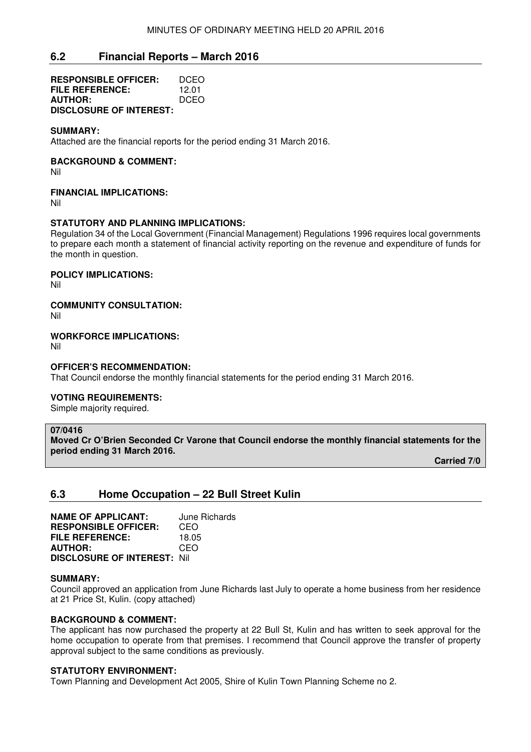## **6.2 Financial Reports – March 2016**

**RESPONSIBLE OFFICER:** DCEO **FILE REFERENCE:** 12.01 **AUTHOR:** DCEO **DISCLOSURE OF INTEREST:** 

#### **SUMMARY:**

Attached are the financial reports for the period ending 31 March 2016.

#### **BACKGROUND & COMMENT:**

Nil

#### **FINANCIAL IMPLICATIONS:**

Nil

#### **STATUTORY AND PLANNING IMPLICATIONS:**

Regulation 34 of the Local Government (Financial Management) Regulations 1996 requires local governments to prepare each month a statement of financial activity reporting on the revenue and expenditure of funds for the month in question.

**POLICY IMPLICATIONS:** 

Nil

**COMMUNITY CONSULTATION:** 

Nil

**WORKFORCE IMPLICATIONS:** 

Nil

#### **OFFICER'S RECOMMENDATION:**

That Council endorse the monthly financial statements for the period ending 31 March 2016.

#### **VOTING REQUIREMENTS:**

Simple majority required.

#### **07/0416**

**Moved Cr O'Brien Seconded Cr Varone that Council endorse the monthly financial statements for the period ending 31 March 2016.** 

 **Carried 7/0** 

## **6.3 Home Occupation – 22 Bull Street Kulin**

**NAME OF APPLICANT:** June Richards **RESPONSIBLE OFFICER:** CEO<br>**FILE REFERENCE:** 18.05 **FILE REFERENCE: AUTHOR:** CEO **DISCLOSURE OF INTEREST:** Nil

#### **SUMMARY:**

Council approved an application from June Richards last July to operate a home business from her residence at 21 Price St, Kulin. (copy attached)

#### **BACKGROUND & COMMENT:**

The applicant has now purchased the property at 22 Bull St, Kulin and has written to seek approval for the home occupation to operate from that premises. I recommend that Council approve the transfer of property approval subject to the same conditions as previously.

#### **STATUTORY ENVIRONMENT:**

Town Planning and Development Act 2005, Shire of Kulin Town Planning Scheme no 2.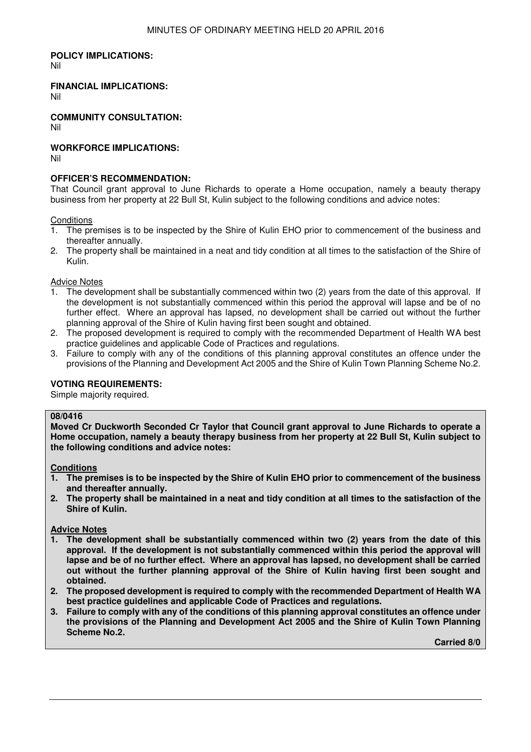## **POLICY IMPLICATIONS:**

Nil

## **FINANCIAL IMPLICATIONS:**

Nil

**COMMUNITY CONSULTATION:** Nil

**WORKFORCE IMPLICATIONS:** 

Nil

## **OFFICER'S RECOMMENDATION:**

That Council grant approval to June Richards to operate a Home occupation, namely a beauty therapy business from her property at 22 Bull St, Kulin subject to the following conditions and advice notes:

**Conditions** 

- 1. The premises is to be inspected by the Shire of Kulin EHO prior to commencement of the business and thereafter annually.
- 2. The property shall be maintained in a neat and tidy condition at all times to the satisfaction of the Shire of Kulin.

Advice Notes

- 1. The development shall be substantially commenced within two (2) years from the date of this approval. If the development is not substantially commenced within this period the approval will lapse and be of no further effect. Where an approval has lapsed, no development shall be carried out without the further planning approval of the Shire of Kulin having first been sought and obtained.
- 2. The proposed development is required to comply with the recommended Department of Health WA best practice guidelines and applicable Code of Practices and regulations.
- 3. Failure to comply with any of the conditions of this planning approval constitutes an offence under the provisions of the Planning and Development Act 2005 and the Shire of Kulin Town Planning Scheme No.2.

## **VOTING REQUIREMENTS:**

Simple majority required.

#### **08/0416**

**Moved Cr Duckworth Seconded Cr Taylor that Council grant approval to June Richards to operate a Home occupation, namely a beauty therapy business from her property at 22 Bull St, Kulin subject to the following conditions and advice notes:** 

#### **Conditions**

- **1. The premises is to be inspected by the Shire of Kulin EHO prior to commencement of the business and thereafter annually.**
- **2. The property shall be maintained in a neat and tidy condition at all times to the satisfaction of the Shire of Kulin.**

**Advice Notes** 

- **1. The development shall be substantially commenced within two (2) years from the date of this approval. If the development is not substantially commenced within this period the approval will lapse and be of no further effect. Where an approval has lapsed, no development shall be carried out without the further planning approval of the Shire of Kulin having first been sought and obtained.**
- **2. The proposed development is required to comply with the recommended Department of Health WA best practice guidelines and applicable Code of Practices and regulations.**
- **3. Failure to comply with any of the conditions of this planning approval constitutes an offence under the provisions of the Planning and Development Act 2005 and the Shire of Kulin Town Planning Scheme No.2.**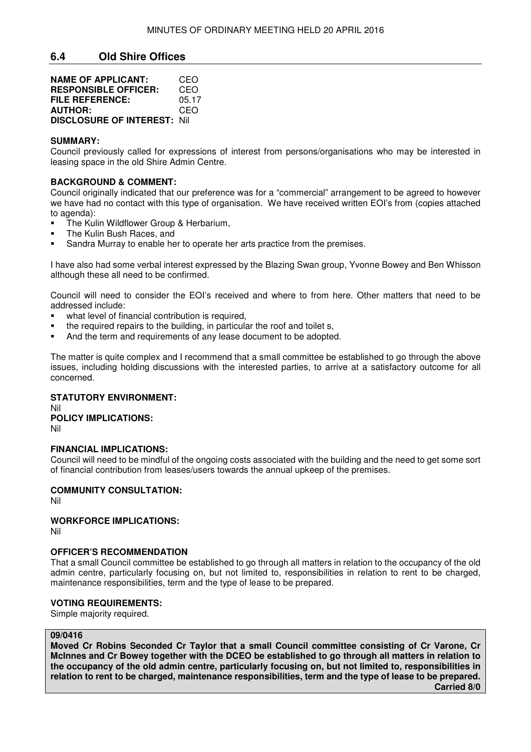## **6.4 Old Shire Offices**

| <b>NAME OF APPLICANT:</b>           | CEO   |
|-------------------------------------|-------|
| <b>RESPONSIBLE OFFICER:</b>         | CEO   |
| <b>FILE REFERENCE:</b>              | 05 17 |
| <b>AUTHOR:</b>                      | CEO   |
| <b>DISCLOSURE OF INTEREST: Nill</b> |       |

#### **SUMMARY:**

Council previously called for expressions of interest from persons/organisations who may be interested in leasing space in the old Shire Admin Centre.

#### **BACKGROUND & COMMENT:**

Council originally indicated that our preference was for a "commercial" arrangement to be agreed to however we have had no contact with this type of organisation. We have received written EOI's from (copies attached to agenda):

- The Kulin Wildflower Group & Herbarium,
- The Kulin Bush Races, and
- Sandra Murray to enable her to operate her arts practice from the premises.

I have also had some verbal interest expressed by the Blazing Swan group, Yvonne Bowey and Ben Whisson although these all need to be confirmed.

Council will need to consider the EOI's received and where to from here. Other matters that need to be addressed include:

- what level of financial contribution is required.
- the required repairs to the building, in particular the roof and toilet s,
- And the term and requirements of any lease document to be adopted.

The matter is quite complex and I recommend that a small committee be established to go through the above issues, including holding discussions with the interested parties, to arrive at a satisfactory outcome for all concerned.

## **STATUTORY ENVIRONMENT:**  Nil

**POLICY IMPLICATIONS:**  Nil

#### **FINANCIAL IMPLICATIONS:**

Council will need to be mindful of the ongoing costs associated with the building and the need to get some sort of financial contribution from leases/users towards the annual upkeep of the premises.

#### **COMMUNITY CONSULTATION:**

Nil

## **WORKFORCE IMPLICATIONS:**

Nil

## **OFFICER'S RECOMMENDATION**

That a small Council committee be established to go through all matters in relation to the occupancy of the old admin centre, particularly focusing on, but not limited to, responsibilities in relation to rent to be charged, maintenance responsibilities, term and the type of lease to be prepared.

#### **VOTING REQUIREMENTS:**

Simple majority required.

#### **09/0416**

**Moved Cr Robins Seconded Cr Taylor that a small Council committee consisting of Cr Varone, Cr McInnes and Cr Bowey together with the DCEO be established to go through all matters in relation to the occupancy of the old admin centre, particularly focusing on, but not limited to, responsibilities in relation to rent to be charged, maintenance responsibilities, term and the type of lease to be prepared.**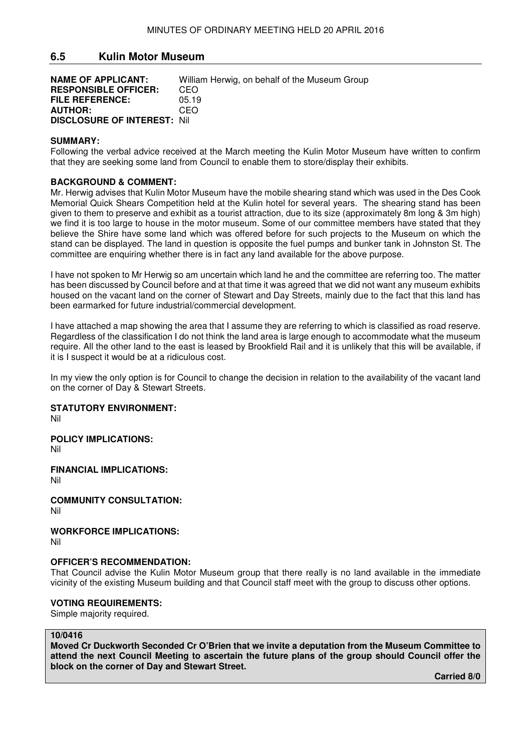## **6.5 Kulin Motor Museum**

| <b>NAME OF APPLICANT:</b>          | William Herwig, on behalf of the Museum Group |
|------------------------------------|-----------------------------------------------|
| <b>RESPONSIBLE OFFICER:</b>        | CEO.                                          |
| <b>FILE REFERENCE:</b>             | 05.19                                         |
| <b>AUTHOR:</b>                     | CEO.                                          |
| <b>DISCLOSURE OF INTEREST: Nil</b> |                                               |

#### **SUMMARY:**

Following the verbal advice received at the March meeting the Kulin Motor Museum have written to confirm that they are seeking some land from Council to enable them to store/display their exhibits.

#### **BACKGROUND & COMMENT:**

Mr. Herwig advises that Kulin Motor Museum have the mobile shearing stand which was used in the Des Cook Memorial Quick Shears Competition held at the Kulin hotel for several years. The shearing stand has been given to them to preserve and exhibit as a tourist attraction, due to its size (approximately 8m long & 3m high) we find it is too large to house in the motor museum. Some of our committee members have stated that they believe the Shire have some land which was offered before for such projects to the Museum on which the stand can be displayed. The land in question is opposite the fuel pumps and bunker tank in Johnston St. The committee are enquiring whether there is in fact any land available for the above purpose.

I have not spoken to Mr Herwig so am uncertain which land he and the committee are referring too. The matter has been discussed by Council before and at that time it was agreed that we did not want any museum exhibits housed on the vacant land on the corner of Stewart and Day Streets, mainly due to the fact that this land has been earmarked for future industrial/commercial development.

I have attached a map showing the area that I assume they are referring to which is classified as road reserve. Regardless of the classification I do not think the land area is large enough to accommodate what the museum require. All the other land to the east is leased by Brookfield Rail and it is unlikely that this will be available, if it is I suspect it would be at a ridiculous cost.

In my view the only option is for Council to change the decision in relation to the availability of the vacant land on the corner of Day & Stewart Streets.

**STATUTORY ENVIRONMENT:** 

Nil

**POLICY IMPLICATIONS:**  Nil

**FINANCIAL IMPLICATIONS:** 

Nil

**COMMUNITY CONSULTATION:**

Nil

**WORKFORCE IMPLICATIONS:**

Nil

#### **OFFICER'S RECOMMENDATION:**

That Council advise the Kulin Motor Museum group that there really is no land available in the immediate vicinity of the existing Museum building and that Council staff meet with the group to discuss other options.

#### **VOTING REQUIREMENTS:**

Simple majority required.

#### **10/0416**

**Moved Cr Duckworth Seconded Cr O'Brien that we invite a deputation from the Museum Committee to attend the next Council Meeting to ascertain the future plans of the group should Council offer the block on the corner of Day and Stewart Street.**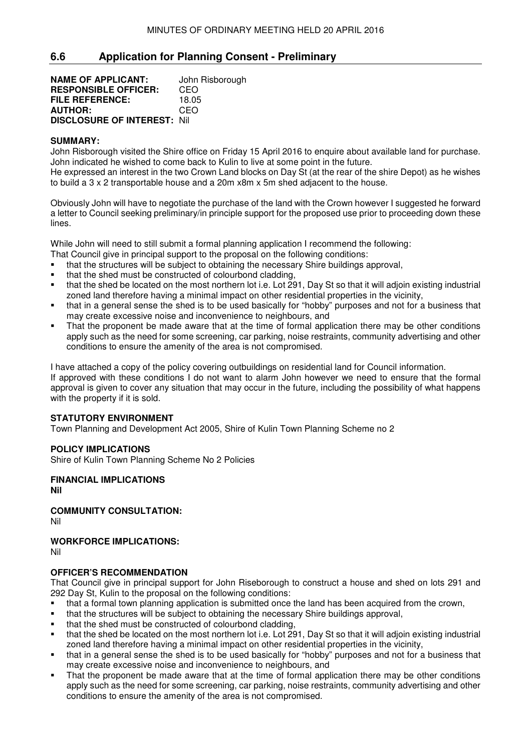## **6.6 Application for Planning Consent - Preliminary**

**NAME OF APPLICANT:** John Risborough **RESPONSIBLE OFFICER:** CEO **FILE REFERENCE:** 18.05 **AUTHOR:** CEO **DISCLOSURE OF INTEREST:** Nil

#### **SUMMARY:**

John Risborough visited the Shire office on Friday 15 April 2016 to enquire about available land for purchase. John indicated he wished to come back to Kulin to live at some point in the future.

He expressed an interest in the two Crown Land blocks on Day St (at the rear of the shire Depot) as he wishes to build a 3 x 2 transportable house and a 20m x8m x 5m shed adjacent to the house.

Obviously John will have to negotiate the purchase of the land with the Crown however I suggested he forward a letter to Council seeking preliminary/in principle support for the proposed use prior to proceeding down these lines.

While John will need to still submit a formal planning application I recommend the following:

- That Council give in principal support to the proposal on the following conditions:
- that the structures will be subject to obtaining the necessary Shire buildings approval,
- that the shed must be constructed of colourbond cladding,
- that the shed be located on the most northern lot i.e. Lot 291, Day St so that it will adjoin existing industrial zoned land therefore having a minimal impact on other residential properties in the vicinity,
- that in a general sense the shed is to be used basically for "hobby" purposes and not for a business that may create excessive noise and inconvenience to neighbours, and
- That the proponent be made aware that at the time of formal application there may be other conditions apply such as the need for some screening, car parking, noise restraints, community advertising and other conditions to ensure the amenity of the area is not compromised.

I have attached a copy of the policy covering outbuildings on residential land for Council information. If approved with these conditions I do not want to alarm John however we need to ensure that the formal approval is given to cover any situation that may occur in the future, including the possibility of what happens with the property if it is sold.

## **STATUTORY ENVIRONMENT**

Town Planning and Development Act 2005, Shire of Kulin Town Planning Scheme no 2

#### **POLICY IMPLICATIONS**

Shire of Kulin Town Planning Scheme No 2 Policies

**FINANCIAL IMPLICATIONS Nil** 

**COMMUNITY CONSULTATION:** Nil

**WORKFORCE IMPLICATIONS:**

Nil

#### **OFFICER'S RECOMMENDATION**

That Council give in principal support for John Riseborough to construct a house and shed on lots 291 and 292 Day St, Kulin to the proposal on the following conditions:

- that a formal town planning application is submitted once the land has been acquired from the crown,
- that the structures will be subject to obtaining the necessary Shire buildings approval,
- that the shed must be constructed of colourbond cladding,
- that the shed be located on the most northern lot i.e. Lot 291, Day St so that it will adjoin existing industrial zoned land therefore having a minimal impact on other residential properties in the vicinity,
- that in a general sense the shed is to be used basically for "hobby" purposes and not for a business that may create excessive noise and inconvenience to neighbours, and
- That the proponent be made aware that at the time of formal application there may be other conditions apply such as the need for some screening, car parking, noise restraints, community advertising and other conditions to ensure the amenity of the area is not compromised.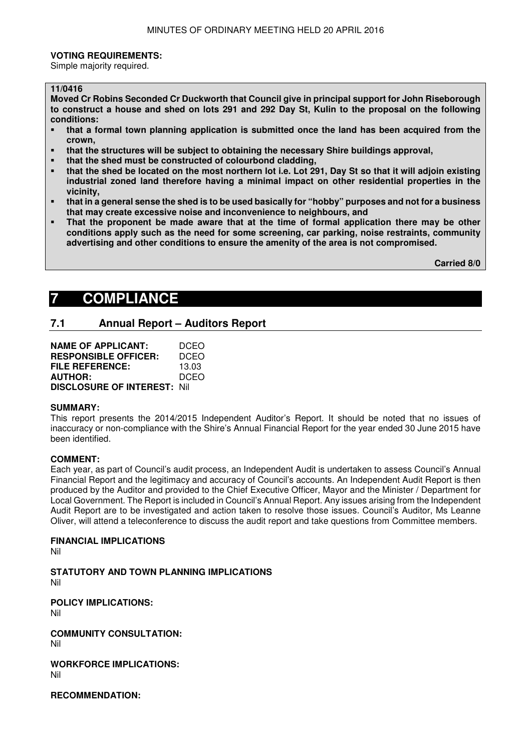#### **VOTING REQUIREMENTS:**

Simple majority required.

#### **11/0416**

**Moved Cr Robins Seconded Cr Duckworth that Council give in principal support for John Riseborough to construct a house and shed on lots 291 and 292 Day St, Kulin to the proposal on the following conditions:** 

- **that a formal town planning application is submitted once the land has been acquired from the crown,**
- **that the structures will be subject to obtaining the necessary Shire buildings approval,**
- **that the shed must be constructed of colourbond cladding,**
- **that the shed be located on the most northern lot i.e. Lot 291, Day St so that it will adjoin existing industrial zoned land therefore having a minimal impact on other residential properties in the vicinity,**
- **that in a general sense the shed is to be used basically for "hobby" purposes and not for a business that may create excessive noise and inconvenience to neighbours, and**
- **That the proponent be made aware that at the time of formal application there may be other conditions apply such as the need for some screening, car parking, noise restraints, community advertising and other conditions to ensure the amenity of the area is not compromised.**

 **Carried 8/0** 

## **7 COMPLIANCE**

## **7.1 Annual Report – Auditors Report**

| <b>NAME OF APPLICANT:</b>           | <b>DCEO</b> |
|-------------------------------------|-------------|
| <b>RESPONSIBLE OFFICER:</b>         | DCEO        |
| <b>FILE REFERENCE:</b>              | 13.03       |
| <b>AUTHOR:</b>                      | <b>DCEO</b> |
| <b>DISCLOSURE OF INTEREST: Nill</b> |             |

#### **SUMMARY:**

This report presents the 2014/2015 Independent Auditor's Report. It should be noted that no issues of inaccuracy or non-compliance with the Shire's Annual Financial Report for the year ended 30 June 2015 have been identified.

#### **COMMENT:**

Each year, as part of Council's audit process, an Independent Audit is undertaken to assess Council's Annual Financial Report and the legitimacy and accuracy of Council's accounts. An Independent Audit Report is then produced by the Auditor and provided to the Chief Executive Officer, Mayor and the Minister / Department for Local Government. The Report is included in Council's Annual Report. Any issues arising from the Independent Audit Report are to be investigated and action taken to resolve those issues. Council's Auditor, Ms Leanne Oliver, will attend a teleconference to discuss the audit report and take questions from Committee members.

#### **FINANCIAL IMPLICATIONS**

Nil

**STATUTORY AND TOWN PLANNING IMPLICATIONS**  Nil

**POLICY IMPLICATIONS:** Nil

**COMMUNITY CONSULTATION:** Nil

**WORKFORCE IMPLICATIONS:** Nil

**RECOMMENDATION:**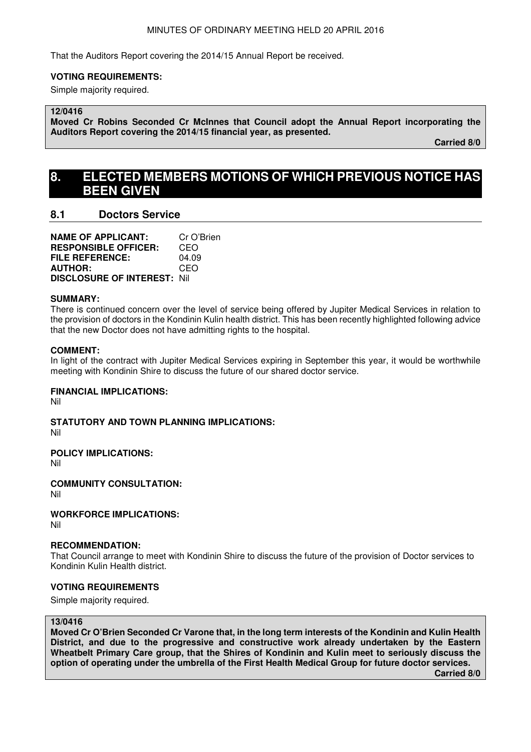That the Auditors Report covering the 2014/15 Annual Report be received.

#### **VOTING REQUIREMENTS:**

Simple majority required.

## **12/0416**

**Moved Cr Robins Seconded Cr McInnes that Council adopt the Annual Report incorporating the Auditors Report covering the 2014/15 financial year, as presented.** 

**Carried 8/0** 

## **8. ELECTED MEMBERS MOTIONS OF WHICH PREVIOUS NOTICE HAS BEEN GIVEN**

## **8.1 Doctors Service**

**NAME OF APPLICANT:** Cr O'Brien **RESPONSIBLE OFFICER:** CEO **FILE REFERENCE:** 04.09 **AUTHOR:** CEO **DISCLOSURE OF INTEREST:** Nil

#### **SUMMARY:**

There is continued concern over the level of service being offered by Jupiter Medical Services in relation to the provision of doctors in the Kondinin Kulin health district. This has been recently highlighted following advice that the new Doctor does not have admitting rights to the hospital.

#### **COMMENT:**

In light of the contract with Jupiter Medical Services expiring in September this year, it would be worthwhile meeting with Kondinin Shire to discuss the future of our shared doctor service.

## **FINANCIAL IMPLICATIONS:**

Nil

**STATUTORY AND TOWN PLANNING IMPLICATIONS:** 

Nil

## **POLICY IMPLICATIONS:**

Nil

## **COMMUNITY CONSULTATION:**

Nil

## **WORKFORCE IMPLICATIONS:**

Nil

## **RECOMMENDATION:**

That Council arrange to meet with Kondinin Shire to discuss the future of the provision of Doctor services to Kondinin Kulin Health district.

## **VOTING REQUIREMENTS**

Simple majority required.

#### **13/0416**

**Moved Cr O'Brien Seconded Cr Varone that, in the long term interests of the Kondinin and Kulin Health District, and due to the progressive and constructive work already undertaken by the Eastern Wheatbelt Primary Care group, that the Shires of Kondinin and Kulin meet to seriously discuss the option of operating under the umbrella of the First Health Medical Group for future doctor services.**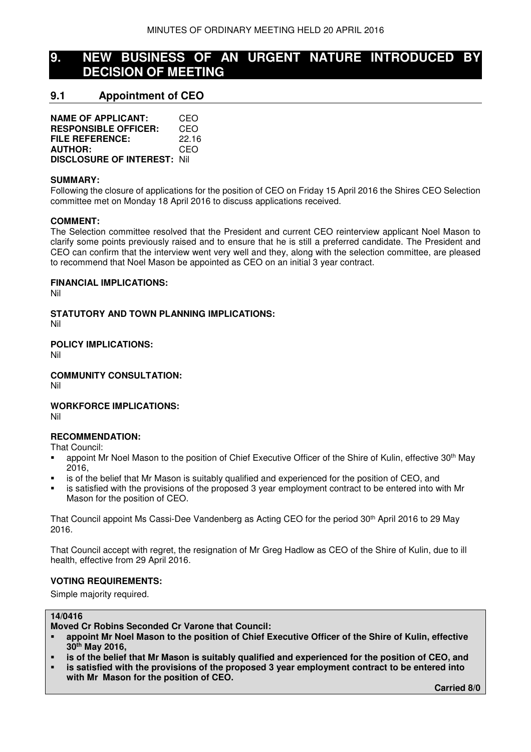## **9. NEW BUSINESS OF AN URGENT NATURE INTRODUCED BY DECISION OF MEETING**

## **9.1 Appointment of CEO**

| <b>NAME OF APPLICANT:</b>           | CEO   |
|-------------------------------------|-------|
| <b>RESPONSIBLE OFFICER:</b>         | CEO   |
| <b>FILE REFERENCE:</b>              | 22.16 |
| <b>AUTHOR:</b>                      | CEO   |
| <b>DISCLOSURE OF INTEREST: Nill</b> |       |

#### **SUMMARY:**

Following the closure of applications for the position of CEO on Friday 15 April 2016 the Shires CEO Selection committee met on Monday 18 April 2016 to discuss applications received.

#### **COMMENT:**

The Selection committee resolved that the President and current CEO reinterview applicant Noel Mason to clarify some points previously raised and to ensure that he is still a preferred candidate. The President and CEO can confirm that the interview went very well and they, along with the selection committee, are pleased to recommend that Noel Mason be appointed as CEO on an initial 3 year contract.

#### **FINANCIAL IMPLICATIONS:**

Nil

**STATUTORY AND TOWN PLANNING IMPLICATIONS:**  Nil

**POLICY IMPLICATIONS:**

Nil

**COMMUNITY CONSULTATION:**

Nil

## **WORKFORCE IMPLICATIONS:**

Nil

## **RECOMMENDATION:**

That Council:

- appoint Mr Noel Mason to the position of Chief Executive Officer of the Shire of Kulin, effective 30<sup>th</sup> May 2016,
- is of the belief that Mr Mason is suitably qualified and experienced for the position of CEO, and
- is satisfied with the provisions of the proposed 3 year employment contract to be entered into with Mr Mason for the position of CEO.

That Council appoint Ms Cassi-Dee Vandenberg as Acting CEO for the period 30th April 2016 to 29 May 2016.

That Council accept with regret, the resignation of Mr Greg Hadlow as CEO of the Shire of Kulin, due to ill health, effective from 29 April 2016.

## **VOTING REQUIREMENTS:**

Simple majority required.

#### **14/0416**

**Moved Cr Robins Seconded Cr Varone that Council:** 

- **appoint Mr Noel Mason to the position of Chief Executive Officer of the Shire of Kulin, effective 30th May 2016,**
- **is of the belief that Mr Mason is suitably qualified and experienced for the position of CEO, and**
- **is satisfied with the provisions of the proposed 3 year employment contract to be entered into with Mr Mason for the position of CEO.**